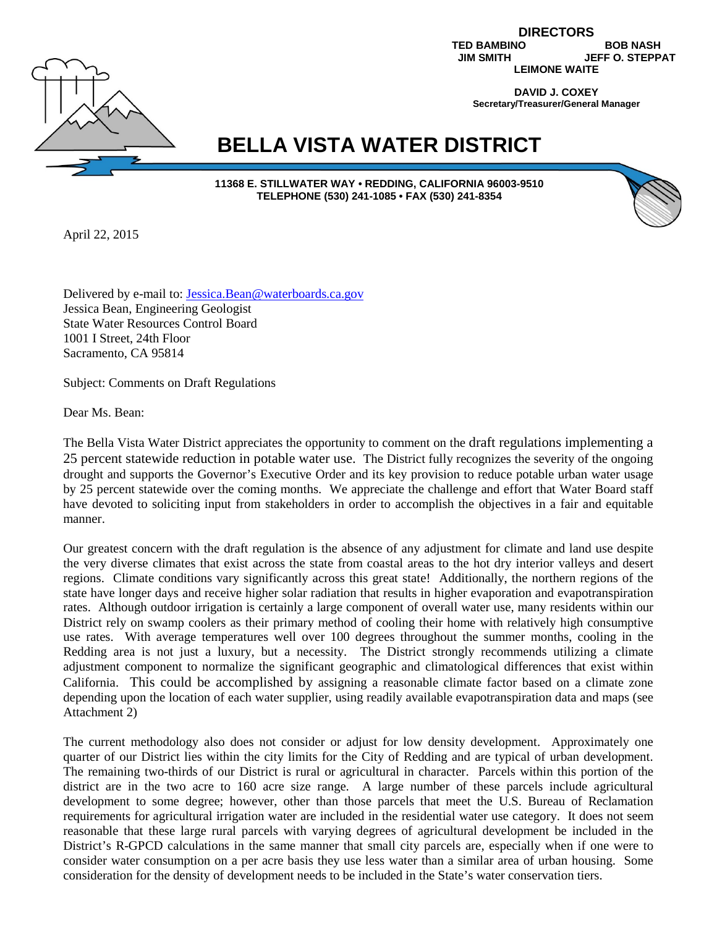

**DIRECTORS TED BAMBINO BOB NASH<br>JIM SMITH JEFF O. STEPP JEFF O. STEPPAT LEIMONE WAITE**

> **DAVID J. COXEY Secretary/Treasurer/General Manager**

# **BELLA VISTA WATER DISTRICT**

**11368 E. STILLWATER WAY • REDDING, CALIFORNIA 96003-9510 TELEPHONE (530) 241-1085 • FAX (530) 241-8354**

April 22, 2015

Delivered by e-mail to: Jessica.Bean@waterboards.ca.gov Jessica Bean, Engineering Geologist State Water Resources Control Board 1001 I Street, 24th Floor Sacramento, CA 95814

Subject: Comments on Draft Regulations

Dear Ms. Bean:

The Bella Vista Water District appreciates the opportunity to comment on the draft regulations implementing a 25 percent statewide reduction in potable water use. The District fully recognizes the severity of the ongoing drought and supports the Governor's Executive Order and its key provision to reduce potable urban water usage by 25 percent statewide over the coming months. We appreciate the challenge and effort that Water Board staff have devoted to soliciting input from stakeholders in order to accomplish the objectives in a fair and equitable manner.

Our greatest concern with the draft regulation is the absence of any adjustment for climate and land use despite the very diverse climates that exist across the state from coastal areas to the hot dry interior valleys and desert regions. Climate conditions vary significantly across this great state! Additionally, the northern regions of the state have longer days and receive higher solar radiation that results in higher evaporation and evapotranspiration rates. Although outdoor irrigation is certainly a large component of overall water use, many residents within our District rely on swamp coolers as their primary method of cooling their home with relatively high consumptive use rates. With average temperatures well over 100 degrees throughout the summer months, cooling in the Redding area is not just a luxury, but a necessity. The District strongly recommends utilizing a climate adjustment component to normalize the significant geographic and climatological differences that exist within California. This could be accomplished by assigning a reasonable climate factor based on a climate zone depending upon the location of each water supplier, using readily available evapotranspiration data and maps (see Attachment 2)

The current methodology also does not consider or adjust for low density development. Approximately one quarter of our District lies within the city limits for the City of Redding and are typical of urban development. The remaining two-thirds of our District is rural or agricultural in character. Parcels within this portion of the district are in the two acre to 160 acre size range. A large number of these parcels include agricultural development to some degree; however, other than those parcels that meet the U.S. Bureau of Reclamation requirements for agricultural irrigation water are included in the residential water use category. It does not seem reasonable that these large rural parcels with varying degrees of agricultural development be included in the District's R-GPCD calculations in the same manner that small city parcels are, especially when if one were to consider water consumption on a per acre basis they use less water than a similar area of urban housing. Some consideration for the density of development needs to be included in the State's water conservation tiers.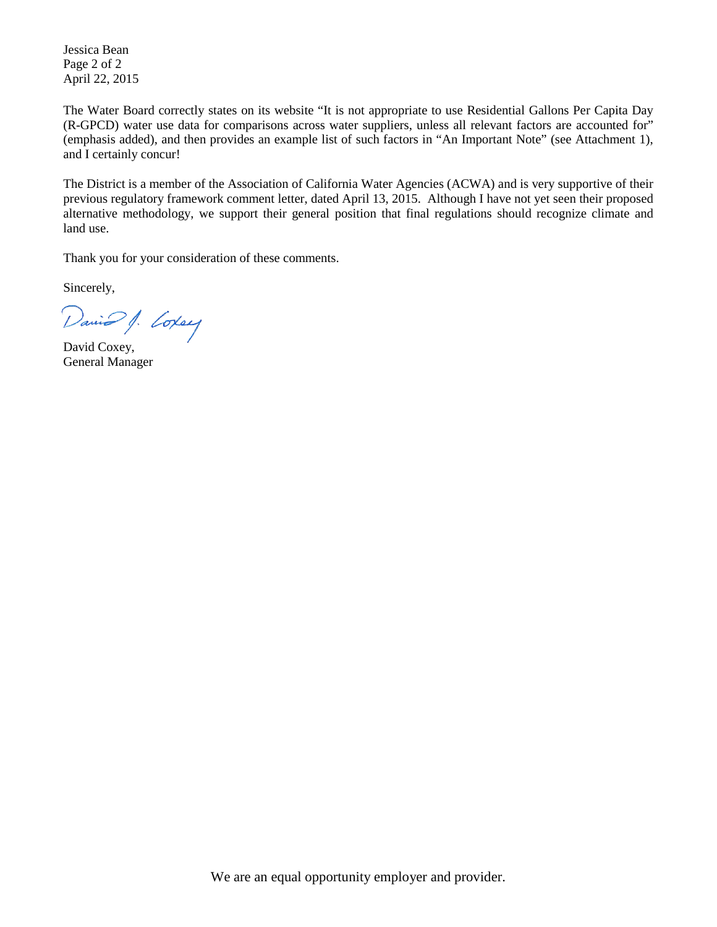Jessica Bean Page 2 of 2 April 22, 2015

The Water Board correctly states on its website "It is not appropriate to use Residential Gallons Per Capita Day (R-GPCD) water use data for comparisons across water suppliers, unless all relevant factors are accounted for" (emphasis added), and then provides an example list of such factors in "An Important Note" (see Attachment 1), and I certainly concur!

The District is a member of the Association of California Water Agencies (ACWA) and is very supportive of their previous regulatory framework comment letter, dated April 13, 2015. Although I have not yet seen their proposed alternative methodology, we support their general position that final regulations should recognize climate and land use.

Thank you for your consideration of these comments.

Sincerely,

David J. Coxey

General Manager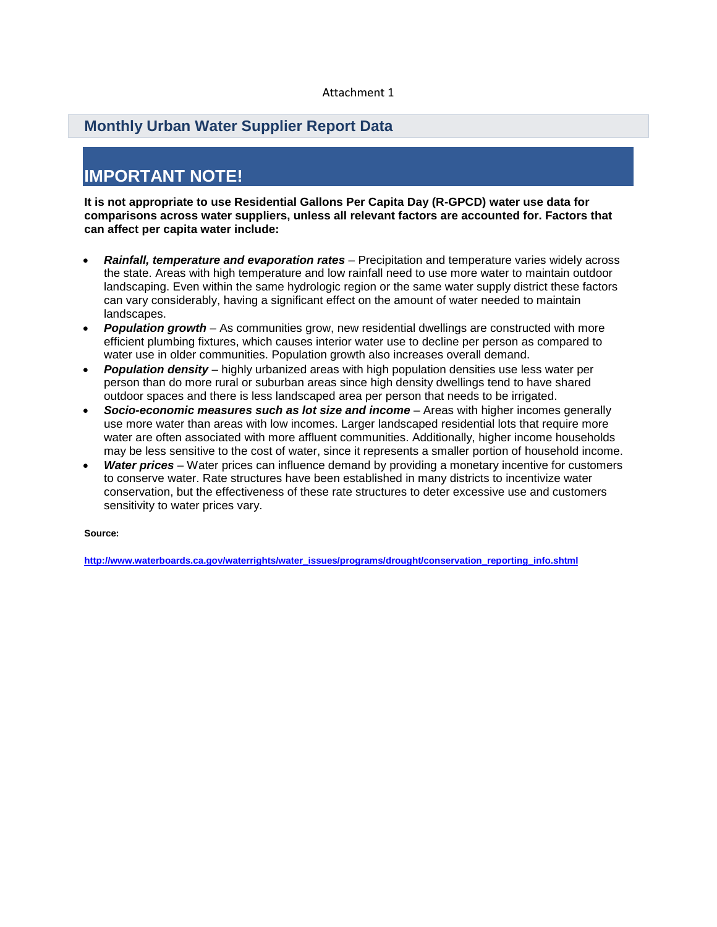#### Attachment 1

#### **Monthly Urban Water Supplier Report Data**

## **IMPORTANT NOTE!**

**It is not appropriate to use Residential Gallons Per Capita Day (R-GPCD) water use data for comparisons across water suppliers, unless all relevant factors are accounted for. Factors that can affect per capita water include:**

- *Rainfall, temperature and evaporation rates* Precipitation and temperature varies widely across the state. Areas with high temperature and low rainfall need to use more water to maintain outdoor landscaping. Even within the same hydrologic region or the same water supply district these factors can vary considerably, having a significant effect on the amount of water needed to maintain landscapes.
- *Population growth* As communities grow, new residential dwellings are constructed with more efficient plumbing fixtures, which causes interior water use to decline per person as compared to water use in older communities. Population growth also increases overall demand.
- *Population density* highly urbanized areas with high population densities use less water per person than do more rural or suburban areas since high density dwellings tend to have shared outdoor spaces and there is less landscaped area per person that needs to be irrigated.
- *Socio-economic measures such as lot size and income* Areas with higher incomes generally use more water than areas with low incomes. Larger landscaped residential lots that require more water are often associated with more affluent communities. Additionally, higher income households may be less sensitive to the cost of water, since it represents a smaller portion of household income.
- *Water prices* Water prices can influence demand by providing a monetary incentive for customers to conserve water. Rate structures have been established in many districts to incentivize water conservation, but the effectiveness of these rate structures to deter excessive use and customers sensitivity to water prices vary.

**Source:**

**http://www.waterboards.ca.gov/waterrights/water\_issues/programs/drought/conservation\_reporting\_info.shtml**